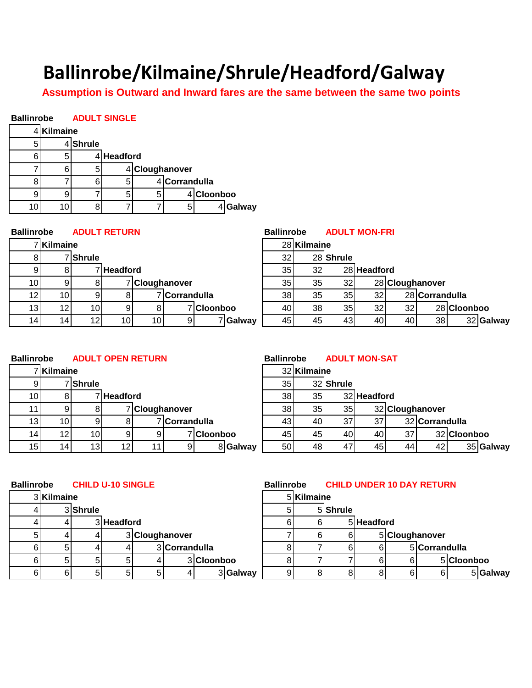## **Ballinrobe/Kilmaine/Shrule/Headford/Galway**

**Assumption is Outward and Inward fares are the same between the same two points**

## **Ballinrobe ADULT SINGLE**

|   | Kilmaine |               |            |                |               |                 |          |
|---|----------|---------------|------------|----------------|---------------|-----------------|----------|
| 5 |          | <b>Shrule</b> |            |                |               |                 |          |
| ค | 5        |               | 4 Headford |                |               |                 |          |
|   |          | 5             |            | 4 Cloughanover |               |                 |          |
|   |          |               | 5          |                | 4 Corrandulla |                 |          |
|   |          |               | 5          |                |               | <b>Cloonboo</b> |          |
|   |          | Ω             |            |                |               |                 | 4 Galway |

| <b>Ballinrobe</b> |                 |                 | <b>ADULT RETURN</b> |                 |                |            |          | <b>Ballinrobe</b> |                 |           | <b>ADULT MON-FRI</b> |                 |                 |             |           |
|-------------------|-----------------|-----------------|---------------------|-----------------|----------------|------------|----------|-------------------|-----------------|-----------|----------------------|-----------------|-----------------|-------------|-----------|
|                   | 7 Kilmaine      |                 |                     |                 |                |            |          |                   | 28 Kilmaine     |           |                      |                 |                 |             |           |
| ÕΙ                |                 | 7 Shrule        |                     |                 |                |            |          | 32                |                 | 28 Shrule |                      |                 |                 |             |           |
| 91                | 8               |                 | 7 Headford          |                 |                |            |          | 35 <sub>l</sub>   | 32 <sub>l</sub> |           | 28 Headford          |                 |                 |             |           |
| 10                | 9               |                 |                     |                 | 7 Cloughanover |            |          | 35 <sub>1</sub>   | 35              | 32        |                      |                 | 28 Cloughanover |             |           |
| 12I               | 10 <sup>1</sup> | ۹l              |                     |                 | 7 Corrandulla  |            |          | 38 <sub>l</sub>   | 35              | 35        | 32 <sub>l</sub>      |                 | 28 Corrandulla  |             |           |
| 13                | 12              | 10 <sup>1</sup> |                     | 81              |                | 7 Cloonboo |          | 40                | 38              | 35        | 32                   | 32 <sub>l</sub> |                 | 28 Cloonboo |           |
| 14                | 14 <sub>1</sub> | 12 <sub>1</sub> | 10 <sub>l</sub>     | 10 <sup>1</sup> | 91             |            | 7 Galway | 45                | 45              | 43        | 40                   | 40              | 38              |             | 32 Galway |
|                   |                 |                 |                     |                 |                |            |          |                   |                 |           |                      |                 |                 |             |           |

| <b>Ballinrobe</b> | <b>ADULT OPEN RETURN</b> | <b>Ballinrobe</b> | <b>ADULT MON-SAT</b> |
|-------------------|--------------------------|-------------------|----------------------|
|                   |                          |                   |                      |

|     | 7 Kilmaine      |                 |            |    |                |            |          |                 | 32 Kilmaine     |           |             |    |                 |         |
|-----|-----------------|-----------------|------------|----|----------------|------------|----------|-----------------|-----------------|-----------|-------------|----|-----------------|---------|
| 9   |                 | 7 Shrule        |            |    |                |            |          | 35              |                 | 32 Shrule |             |    |                 |         |
| 10I |                 |                 | 7 Headford |    |                |            |          | 38              | 35 <sub>l</sub> |           | 32 Headford |    |                 |         |
| 11. |                 |                 |            |    | 7 Cloughanover |            |          | 38              | 35              | 35        |             |    | 32 Cloughanover |         |
| 13  | 10I             |                 |            |    | 7 Corrandulla  |            |          | 431             | 40              | 37 I      | 37          |    | 32 Corrandulla  |         |
| 14  | 12 <sub>l</sub> | 10 <sup>1</sup> |            | 9  |                | 7 Cloonboo |          | 451             | 45              | 40I       | 40          | 37 |                 | 32 Cloc |
| 15  | 14 <sub>1</sub> | 13 <sub>l</sub> | 12         | 11 | -91            |            | 8 Galway | 50 <sub>l</sub> | 48              | 47        | 45          | 44 | 42              |         |
|     |                 |                 |            |    |                |            |          |                 |                 |           |             |    |                 |         |

|                 | nrobe           |                 | <b>ADULT OPEN RETURN</b> |                |            |          | <b>Ballinrobe</b> |                 | <b>ADULT MON-SAT</b> |             |                 |                |             |           |
|-----------------|-----------------|-----------------|--------------------------|----------------|------------|----------|-------------------|-----------------|----------------------|-------------|-----------------|----------------|-------------|-----------|
|                 | 7Kilmaine       |                 |                          |                |            |          |                   | 32 Kilmaine     |                      |             |                 |                |             |           |
| -91             |                 | 7 Shrule        |                          |                |            |          | 35 <sub>l</sub>   |                 | 32 Shrule            |             |                 |                |             |           |
| 10 <sup>1</sup> |                 |                 | 7 Headford               |                |            |          | 38                | 35 <sub>l</sub> |                      | 32 Headford |                 |                |             |           |
| 11              |                 | 81              |                          | 7 Cloughanover |            |          | 38 <sup>1</sup>   | 35 <sub>l</sub> | 35                   |             | 32 Cloughanover |                |             |           |
| 13              | 10 <sub>l</sub> | 91              |                          | 7 Corrandulla  |            |          | 431               | 40              | 37 <sup>1</sup>      | 37          |                 | 32 Corrandulla |             |           |
| 14              | 12 <sub>1</sub> | 10 <sup>1</sup> |                          |                | 7 Cloonboo |          | 45                | 45              | 40I                  | 40          | 37              |                | 32 Cloonboo |           |
| 15              | 14 <sub>1</sub> | 13 <sub>l</sub> | 12 <sub>1</sub>          | 9              |            | 8 Galway | 50                | 48              | 47'                  | 45          | 44              | 42I            |             | 35 Galway |

| <b>Ballinrobe</b> |            |          | <b>CHILD U-10 SINGLE</b> |   |                |            | <b>Ballinrobe</b> |            |          |            |   | <b>CHILD UNDER 10 DAY RETURN</b> |            |
|-------------------|------------|----------|--------------------------|---|----------------|------------|-------------------|------------|----------|------------|---|----------------------------------|------------|
|                   | 3 Kilmaine |          |                          |   |                |            |                   | 5 Kilmaine |          |            |   |                                  |            |
|                   |            | 3 Shrule |                          |   |                |            | 51                |            | 5 Shrule |            |   |                                  |            |
|                   |            |          | 3 Headford               |   |                |            |                   | 6          |          | 5 Headford |   |                                  |            |
| 51                |            |          |                          |   | 3 Cloughanover |            |                   | 61         | 6I       |            |   | 5 Cloughanover                   |            |
|                   |            |          |                          |   | 3 Corrandulla  |            |                   |            |          |            |   | 5 Corrandulla                    |            |
| 61                | 5          |          | 51                       |   |                | 3 Cloonboo |                   |            |          |            | 6 |                                  | 5 Cloonboo |
| 6I                | 6          |          | 51                       | 5 |                | 3 Galway   |                   | 8          |          |            | 6 |                                  | 5 Galway   |
|                   |            |          |                          |   |                |            |                   |            |          |            |   |                                  |            |